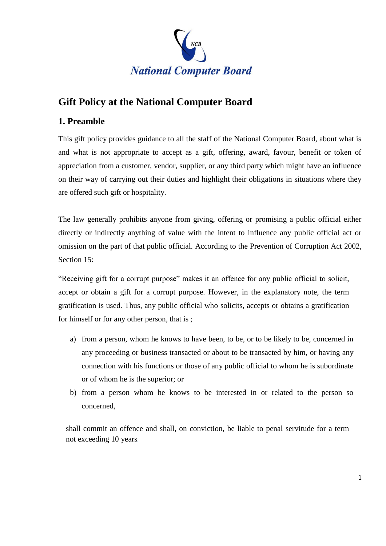

# **Gift Policy at the National Computer Board**

## **1. Preamble**

This gift policy provides guidance to all the staff of the National Computer Board, about what is and what is not appropriate to accept as a gift, offering, award, favour, benefit or token of appreciation from a customer, vendor, supplier, or any third party which might have an influence on their way of carrying out their duties and highlight their obligations in situations where they are offered such gift or hospitality.

The law generally prohibits anyone from giving, offering or promising a public official either directly or indirectly anything of value with the intent to influence any public official act or omission on the part of that public official. According to the Prevention of Corruption Act 2002, Section 15:

"Receiving gift for a corrupt purpose" makes it an offence for any public official to solicit, accept or obtain a gift for a corrupt purpose. However, in the explanatory note, the term gratification is used. Thus, any public official who solicits, accepts or obtains a gratification for himself or for any other person, that is ;

- a) from a person, whom he knows to have been, to be, or to be likely to be, concerned in any proceeding or business transacted or about to be transacted by him, or having any connection with his functions or those of any public official to whom he is subordinate or of whom he is the superior; or
- b) from a person whom he knows to be interested in or related to the person so concerned,

shall commit an offence and shall, on conviction, be liable to penal servitude for a term not exceeding 10 years*.*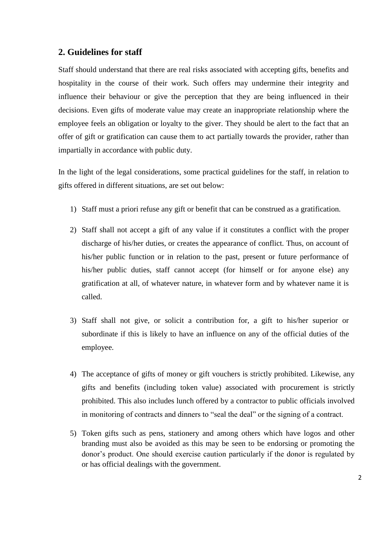## **2. Guidelines for staff**

Staff should understand that there are real risks associated with accepting gifts, benefits and hospitality in the course of their work. Such offers may undermine their integrity and influence their behaviour or give the perception that they are being influenced in their decisions. Even gifts of moderate value may create an inappropriate relationship where the employee feels an obligation or loyalty to the giver. They should be alert to the fact that an offer of gift or gratification can cause them to act partially towards the provider, rather than impartially in accordance with public duty.

In the light of the legal considerations, some practical guidelines for the staff, in relation to gifts offered in different situations, are set out below:

- 1) Staff must a priori refuse any gift or benefit that can be construed as a gratification.
- 2) Staff shall not accept a gift of any value if it constitutes a conflict with the proper discharge of his/her duties, or creates the appearance of conflict. Thus, on account of his/her public function or in relation to the past, present or future performance of his/her public duties, staff cannot accept (for himself or for anyone else) any gratification at all, of whatever nature, in whatever form and by whatever name it is called.
- 3) Staff shall not give, or solicit a contribution for, a gift to his/her superior or subordinate if this is likely to have an influence on any of the official duties of the employee.
- 4) The acceptance of gifts of money or gift vouchers is strictly prohibited. Likewise, any gifts and benefits (including token value) associated with procurement is strictly prohibited. This also includes lunch offered by a contractor to public officials involved in monitoring of contracts and dinners to "seal the deal" or the signing of a contract.
- 5) Token gifts such as pens, stationery and among others which have logos and other branding must also be avoided as this may be seen to be endorsing or promoting the donor's product. One should exercise caution particularly if the donor is regulated by or has official dealings with the government.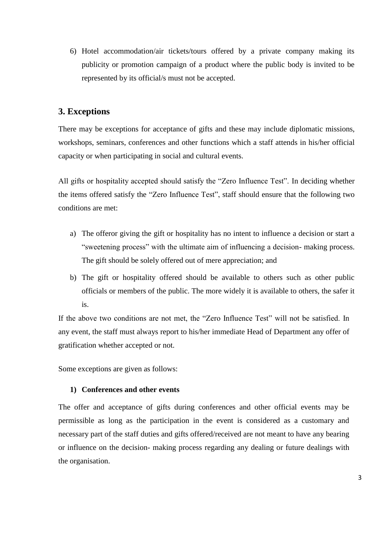6) Hotel accommodation/air tickets/tours offered by a private company making its publicity or promotion campaign of a product where the public body is invited to be represented by its official/s must not be accepted.

## **3. Exceptions**

There may be exceptions for acceptance of gifts and these may include diplomatic missions, workshops, seminars, conferences and other functions which a staff attends in his/her official capacity or when participating in social and cultural events.

All gifts or hospitality accepted should satisfy the "Zero Influence Test". In deciding whether the items offered satisfy the "Zero Influence Test", staff should ensure that the following two conditions are met:

- a) The offeror giving the gift or hospitality has no intent to influence a decision or start a "sweetening process" with the ultimate aim of influencing a decision- making process. The gift should be solely offered out of mere appreciation; and
- b) The gift or hospitality offered should be available to others such as other public officials or members of the public. The more widely it is available to others, the safer it is.

If the above two conditions are not met, the "Zero Influence Test" will not be satisfied. In any event, the staff must always report to his/her immediate Head of Department any offer of gratification whether accepted or not.

Some exceptions are given as follows:

#### **1) Conferences and other events**

The offer and acceptance of gifts during conferences and other official events may be permissible as long as the participation in the event is considered as a customary and necessary part of the staff duties and gifts offered/received are not meant to have any bearing or influence on the decision- making process regarding any dealing or future dealings with the organisation.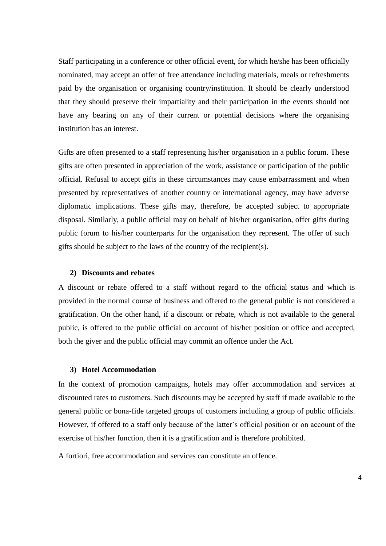Staff participating in a conference or other official event, for which he/she has been officially nominated, may accept an offer of free attendance including materials, meals or refreshments paid by the organisation or organising country/institution. It should be clearly understood that they should preserve their impartiality and their participation in the events should not have any bearing on any of their current or potential decisions where the organising institution has an interest.

Gifts are often presented to a staff representing his/her organisation in a public forum. These gifts are often presented in appreciation of the work, assistance or participation of the public official. Refusal to accept gifts in these circumstances may cause embarrassment and when presented by representatives of another country or international agency, may have adverse diplomatic implications. These gifts may, therefore, be accepted subject to appropriate disposal. Similarly, a public official may on behalf of his/her organisation, offer gifts during public forum to his/her counterparts for the organisation they represent. The offer of such gifts should be subject to the laws of the country of the recipient(s).

#### **2) Discounts and rebates**

A discount or rebate offered to a staff without regard to the official status and which is provided in the normal course of business and offered to the general public is not considered a gratification. On the other hand, if a discount or rebate, which is not available to the general public, is offered to the public official on account of his/her position or office and accepted, both the giver and the public official may commit an offence under the Act.

#### **3) Hotel Accommodation**

In the context of promotion campaigns, hotels may offer accommodation and services at discounted rates to customers. Such discounts may be accepted by staff if made available to the general public or bona-fide targeted groups of customers including a group of public officials. However, if offered to a staff only because of the latter's official position or on account of the exercise of his/her function, then it is a gratification and is therefore prohibited.

A fortiori, free accommodation and services can constitute an offence.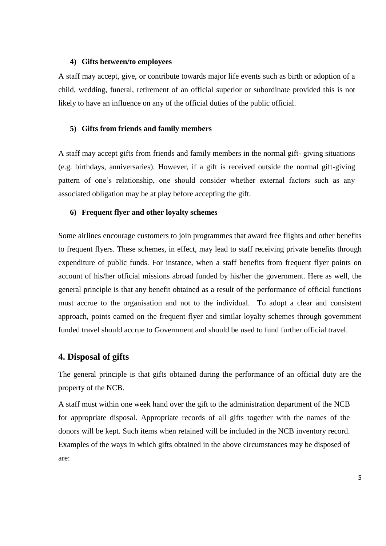#### **4) Gifts between/to employees**

A staff may accept, give, or contribute towards major life events such as birth or adoption of a child, wedding, funeral, retirement of an official superior or subordinate provided this is not likely to have an influence on any of the official duties of the public official.

#### **5) Gifts from friends and family members**

A staff may accept gifts from friends and family members in the normal gift- giving situations (e.g. birthdays, anniversaries). However, if a gift is received outside the normal gift-giving pattern of one's relationship, one should consider whether external factors such as any associated obligation may be at play before accepting the gift.

#### **6) Frequent flyer and other loyalty schemes**

Some airlines encourage customers to join programmes that award free flights and other benefits to frequent flyers. These schemes, in effect, may lead to staff receiving private benefits through expenditure of public funds. For instance, when a staff benefits from frequent flyer points on account of his/her official missions abroad funded by his/her the government. Here as well, the general principle is that any benefit obtained as a result of the performance of official functions must accrue to the organisation and not to the individual. To adopt a clear and consistent approach, points earned on the frequent flyer and similar loyalty schemes through government funded travel should accrue to Government and should be used to fund further official travel.

#### **4. Disposal of gifts**

The general principle is that gifts obtained during the performance of an official duty are the property of the NCB.

A staff must within one week hand over the gift to the administration department of the NCB for appropriate disposal. Appropriate records of all gifts together with the names of the donors will be kept. Such items when retained will be included in the NCB inventory record. Examples of the ways in which gifts obtained in the above circumstances may be disposed of are: